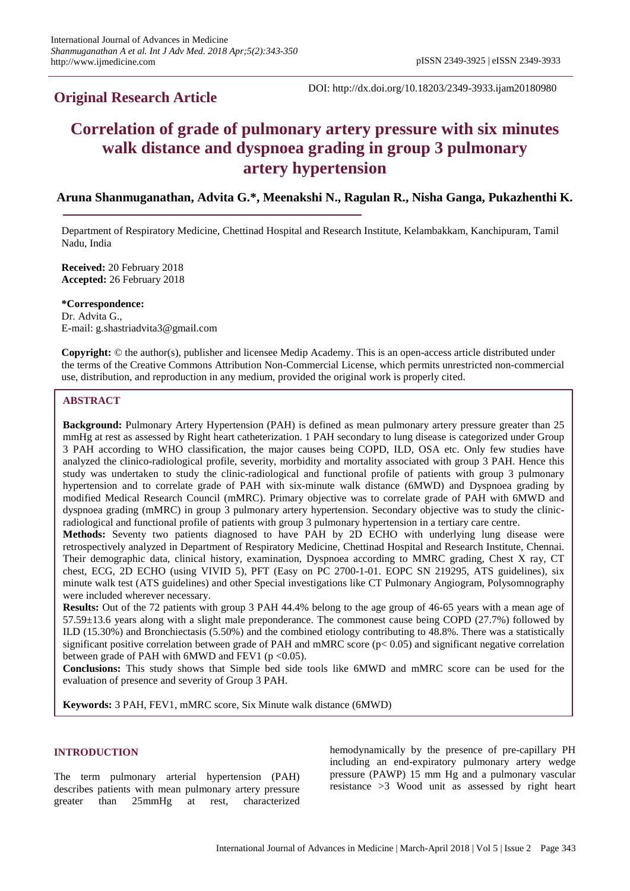## **Original Research Article**

DOI: http://dx.doi.org/10.18203/2349-3933.ijam20180980

# **Correlation of grade of pulmonary artery pressure with six minutes walk distance and dyspnoea grading in group 3 pulmonary artery hypertension**

## **Aruna Shanmuganathan, Advita G.\*, Meenakshi N., Ragulan R., Nisha Ganga, Pukazhenthi K.**

Department of Respiratory Medicine, Chettinad Hospital and Research Institute, Kelambakkam, Kanchipuram, Tamil Nadu, India

**Received:** 20 February 2018 **Accepted:** 26 February 2018

**\*Correspondence:** Dr. Advita G., E-mail: g.shastriadvita3@gmail.com

**Copyright:** © the author(s), publisher and licensee Medip Academy. This is an open-access article distributed under the terms of the Creative Commons Attribution Non-Commercial License, which permits unrestricted non-commercial use, distribution, and reproduction in any medium, provided the original work is properly cited.

## **ABSTRACT**

**Background:** Pulmonary Artery Hypertension (PAH) is defined as mean pulmonary artery pressure greater than 25 mmHg at rest as assessed by Right heart catheterization. 1 PAH secondary to lung disease is categorized under Group 3 PAH according to WHO classification, the major causes being COPD, ILD, OSA etc. Only few studies have analyzed the clinico-radiological profile, severity, morbidity and mortality associated with group 3 PAH. Hence this study was undertaken to study the clinic-radiological and functional profile of patients with group 3 pulmonary hypertension and to correlate grade of PAH with six-minute walk distance (6MWD) and Dyspnoea grading by modified Medical Research Council (mMRC). Primary objective was to correlate grade of PAH with 6MWD and dyspnoea grading (mMRC) in group 3 pulmonary artery hypertension. Secondary objective was to study the clinicradiological and functional profile of patients with group 3 pulmonary hypertension in a tertiary care centre.

**Methods:** Seventy two patients diagnosed to have PAH by 2D ECHO with underlying lung disease were retrospectively analyzed in Department of Respiratory Medicine, Chettinad Hospital and Research Institute, Chennai. Their demographic data, clinical history, examination, Dyspnoea according to MMRC grading, Chest X ray, CT chest, ECG, 2D ECHO (using VIVID 5), PFT (Easy on PC 2700-1-01. EOPC SN 219295, ATS guidelines), six minute walk test (ATS guidelines) and other Special investigations like CT Pulmonary Angiogram, Polysomnography were included wherever necessary.

**Results:** Out of the 72 patients with group 3 PAH 44.4% belong to the age group of 46-65 years with a mean age of 57.59±13.6 years along with a slight male preponderance. The commonest cause being COPD (27.7%) followed by ILD (15.30%) and Bronchiectasis (5.50%) and the combined etiology contributing to 48.8%. There was a statistically significant positive correlation between grade of PAH and mMRC score ( $p < 0.05$ ) and significant negative correlation between grade of PAH with  $6MWD$  and FEV1 ( $p < 0.05$ ).

**Conclusions:** This study shows that Simple bed side tools like 6MWD and mMRC score can be used for the evaluation of presence and severity of Group 3 PAH.

**Keywords:** 3 PAH, FEV1, mMRC score, Six Minute walk distance (6MWD)

## **INTRODUCTION**

The term pulmonary arterial hypertension (PAH) describes patients with mean pulmonary artery pressure greater than 25mmHg at rest, characterized hemodynamically by the presence of pre-capillary PH including an end-expiratory pulmonary artery wedge pressure (PAWP) 15 mm Hg and a pulmonary vascular resistance >3 Wood unit as assessed by right heart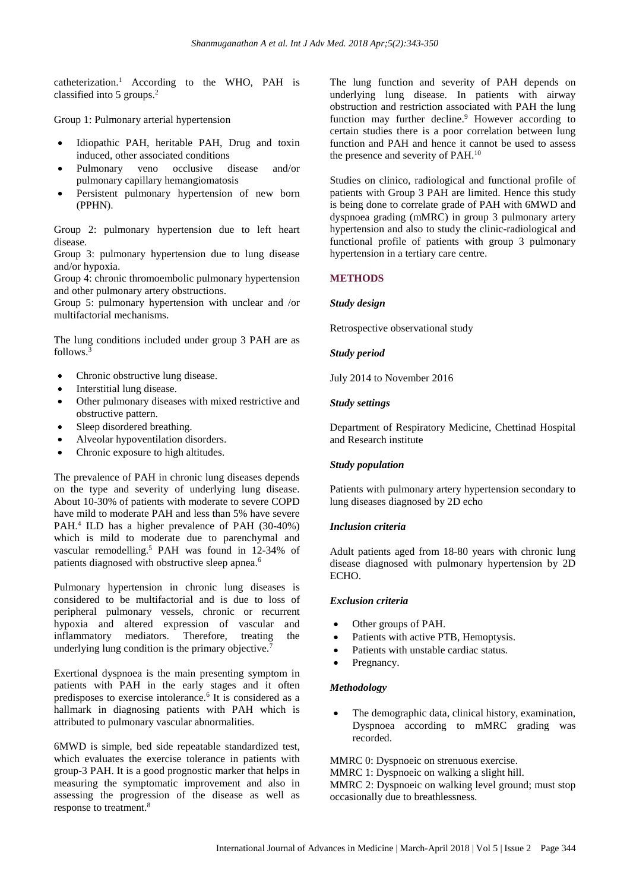catheterization.<sup>1</sup> According to the WHO, PAH is classified into 5 groups.<sup>2</sup>

Group 1: Pulmonary arterial hypertension

- Idiopathic PAH, heritable PAH, Drug and toxin induced, other associated conditions
- Pulmonary veno occlusive disease and/or pulmonary capillary hemangiomatosis
- Persistent pulmonary hypertension of new born (PPHN).

Group 2: pulmonary hypertension due to left heart disease.

Group 3: pulmonary hypertension due to lung disease and/or hypoxia.

Group 4: chronic thromoembolic pulmonary hypertension and other pulmonary artery obstructions.

Group 5: pulmonary hypertension with unclear and /or multifactorial mechanisms.

The lung conditions included under group 3 PAH are as follows.<sup>3</sup>

- Chronic obstructive lung disease.
- Interstitial lung disease.
- Other pulmonary diseases with mixed restrictive and obstructive pattern.
- Sleep disordered breathing.
- Alveolar hypoventilation disorders.
- Chronic exposure to high altitudes.

The prevalence of PAH in chronic lung diseases depends on the type and severity of underlying lung disease. About 10-30% of patients with moderate to severe COPD have mild to moderate PAH and less than 5% have severe PAH.<sup>4</sup> ILD has a higher prevalence of PAH (30-40%) which is mild to moderate due to parenchymal and vascular remodelling.<sup>5</sup> PAH was found in 12-34% of patients diagnosed with obstructive sleep apnea.<sup>6</sup>

Pulmonary hypertension in chronic lung diseases is considered to be multifactorial and is due to loss of peripheral pulmonary vessels, chronic or recurrent hypoxia and altered expression of vascular and inflammatory mediators. Therefore, treating the underlying lung condition is the primary objective.<sup>7</sup>

Exertional dyspnoea is the main presenting symptom in patients with PAH in the early stages and it often predisposes to exercise intolerance.<sup>6</sup> It is considered as a hallmark in diagnosing patients with PAH which is attributed to pulmonary vascular abnormalities.

6MWD is simple, bed side repeatable standardized test, which evaluates the exercise tolerance in patients with group-3 PAH. It is a good prognostic marker that helps in measuring the symptomatic improvement and also in assessing the progression of the disease as well as response to treatment.<sup>8</sup>

The lung function and severity of PAH depends on underlying lung disease. In patients with airway obstruction and restriction associated with PAH the lung function may further decline.<sup>9</sup> However according to certain studies there is a poor correlation between lung function and PAH and hence it cannot be used to assess the presence and severity of PAH.<sup>10</sup>

Studies on clinico, radiological and functional profile of patients with Group 3 PAH are limited. Hence this study is being done to correlate grade of PAH with 6MWD and dyspnoea grading (mMRC) in group 3 pulmonary artery hypertension and also to study the clinic-radiological and functional profile of patients with group 3 pulmonary hypertension in a tertiary care centre.

## **METHODS**

#### *Study design*

Retrospective observational study

#### *Study period*

July 2014 to November 2016

#### *Study settings*

Department of Respiratory Medicine, Chettinad Hospital and Research institute

## *Study population*

Patients with pulmonary artery hypertension secondary to lung diseases diagnosed by 2D echo

## *Inclusion criteria*

Adult patients aged from 18-80 years with chronic lung disease diagnosed with pulmonary hypertension by 2D ECHO.

#### *Exclusion criteria*

- Other groups of PAH.
- Patients with active PTB, Hemoptysis.
- Patients with unstable cardiac status.
- Pregnancy.

## *Methodology*

The demographic data, clinical history, examination, Dyspnoea according to mMRC grading was recorded.

MMRC 0: Dyspnoeic on strenuous exercise. MMRC 1: Dyspnoeic on walking a slight hill. MMRC 2: Dyspnoeic on walking level ground; must stop occasionally due to breathlessness.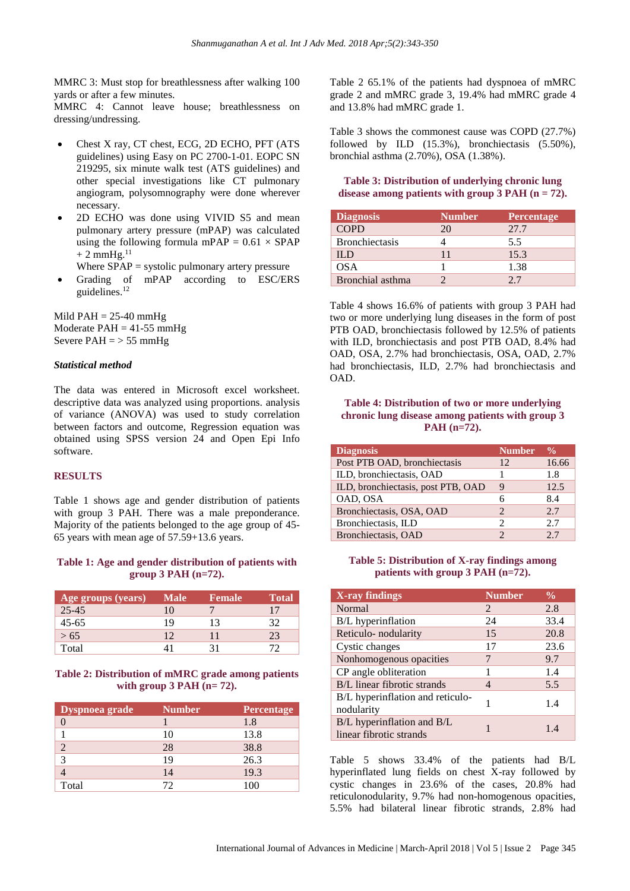MMRC 3: Must stop for breathlessness after walking 100 yards or after a few minutes.

MMRC 4: Cannot leave house; breathlessness on dressing/undressing.

- Chest X ray, CT chest, ECG, 2D ECHO, PFT (ATS guidelines) using Easy on PC 2700-1-01. EOPC SN 219295, six minute walk test (ATS guidelines) and other special investigations like CT pulmonary angiogram, polysomnography were done wherever necessary.
- 2D ECHO was done using VIVID S5 and mean pulmonary artery pressure (mPAP) was calculated using the following formula mPAP =  $0.61 \times SPAP$  $+$  2 mmHg.  $^{\rm 11}$

Where  $SPAP =$  systolic pulmonary artery pressure

Grading of mPAP according to ESC/ERS guidelines.<sup>12</sup>

Mild  $PAH = 25-40$  mmHg Moderate  $PAH = 41-55$  mmHg Severe  $PAH = > 55$  mmHg

#### *Statistical method*

The data was entered in Microsoft excel worksheet. descriptive data was analyzed using proportions. analysis of variance (ANOVA) was used to study correlation between factors and outcome, Regression equation was obtained using SPSS version 24 and Open Epi Info software.

#### **RESULTS**

Table 1 shows age and gender distribution of patients with group 3 PAH. There was a male preponderance. Majority of the patients belonged to the age group of 45- 65 years with mean age of 57.59+13.6 years.

#### **Table 1: Age and gender distribution of patients with group 3 PAH (n=72).**

| <b>Age groups (years)</b> | <b>Male</b> | <b>Female</b> | <b>Total</b> |
|---------------------------|-------------|---------------|--------------|
| $25 - 45$                 | 10          |               | 17           |
| $45 - 65$                 | 19          | 13            | 32           |
| > 65                      | 12          | 11            | 23           |
| Total                     | 41          | 31            | 77           |

#### **Table 2: Distribution of mMRC grade among patients with group 3 PAH (n= 72).**

| Dyspnoea grade | <b>Number</b> | <b>Percentage</b> |
|----------------|---------------|-------------------|
|                |               | 1.8               |
|                | 10            | 13.8              |
| 2              | 28            | 38.8              |
| 3              | 19            | 26.3              |
|                | 14            | 19.3              |
| Total          | 72            | 100               |

Table 2 65.1% of the patients had dyspnoea of mMRC grade 2 and mMRC grade 3, 19.4% had mMRC grade 4 and 13.8% had mMRC grade 1.

Table 3 shows the commonest cause was COPD (27.7%) followed by ILD (15.3%), bronchiectasis (5.50%), bronchial asthma (2.70%), OSA (1.38%).

## **Table 3: Distribution of underlying chronic lung disease among patients with group 3 PAH (n = 72).**

| <b>Diagnosis</b>      | <b>Number</b> | Percentage |
|-----------------------|---------------|------------|
| <b>COPD</b>           | 20            | 27.7       |
| <b>Bronchiectasis</b> |               | 5.5        |
| IL D                  | 11            | 15.3       |
| <b>OSA</b>            |               | 1.38       |
| Bronchial asthma      |               | 27         |

Table 4 shows 16.6% of patients with group 3 PAH had two or more underlying lung diseases in the form of post PTB OAD, bronchiectasis followed by 12.5% of patients with ILD, bronchiectasis and post PTB OAD, 8.4% had OAD, OSA, 2.7% had bronchiectasis, OSA, OAD, 2.7% had bronchiectasis, ILD, 2.7% had bronchiectasis and OAD.

#### **Table 4: Distribution of two or more underlying chronic lung disease among patients with group 3 PAH (n=72).**

| <b>Diagnosis</b>                   | <b>Number</b>               | $\frac{6}{10}$ |
|------------------------------------|-----------------------------|----------------|
| Post PTB OAD, bronchiectasis       | 12                          | 16.66          |
| ILD, bronchiectasis, OAD           |                             | 1.8            |
| ILD, bronchiectasis, post PTB, OAD | 9                           | 12.5           |
| OAD, OSA                           | 6                           | 8.4            |
| Bronchiectasis, OSA, OAD           | $\mathcal{D}_{\mathcal{L}}$ | 2.7            |
| Bronchiectasis, ILD                | っ                           | 2.7            |
| Bronchiectasis, OAD                |                             | 2.7            |

## **Table 5: Distribution of X-ray findings among patients with group 3 PAH (n=72).**

| X-ray findings                                        | <b>Number</b> | $\frac{0}{0}$ |
|-------------------------------------------------------|---------------|---------------|
| <b>Normal</b>                                         | $\mathcal{L}$ | 2.8           |
| B/L hyperinflation                                    | 24            | 33.4          |
| Reticulo- nodularity                                  | 15            | 20.8          |
| Cystic changes                                        | 17            | 23.6          |
| Nonhomogenous opacities                               | 7             | 9.7           |
| CP angle obliteration                                 | 1             | 1.4           |
| B/L linear fibrotic strands                           | 4             | 5.5           |
| B/L hyperinflation and reticulo-<br>nodularity        | 1             | 1.4           |
| B/L hyperinflation and B/L<br>linear fibrotic strands |               | 14            |

Table 5 shows 33.4% of the patients had B/L hyperinflated lung fields on chest  $\bar{X}$ -ray followed by cystic changes in 23.6% of the cases, 20.8% had reticulonodularity, 9.7% had non-homogenous opacities, 5.5% had bilateral linear fibrotic strands, 2.8% had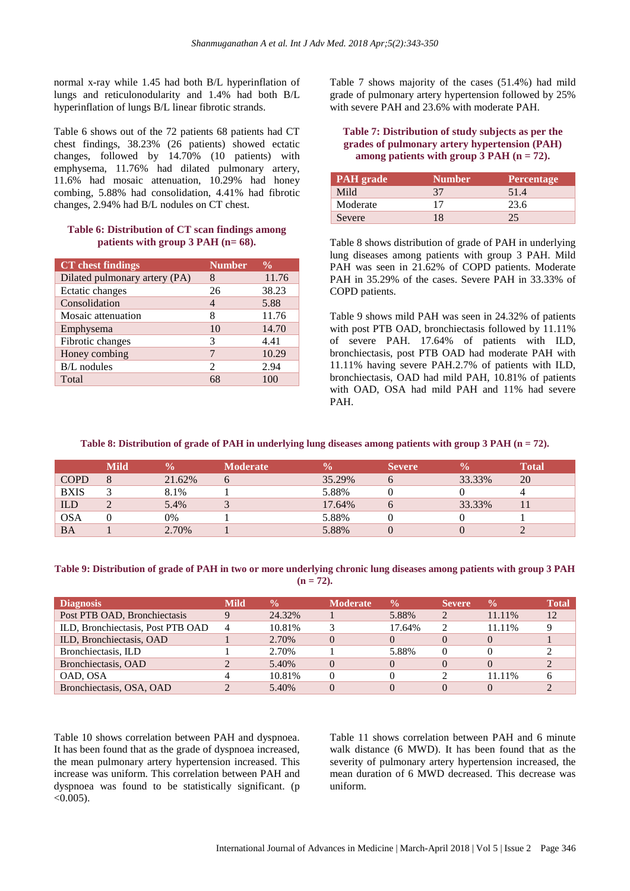normal x-ray while 1.45 had both B/L hyperinflation of lungs and reticulonodularity and 1.4% had both B/L hyperinflation of lungs B/L linear fibrotic strands.

Table 6 shows out of the 72 patients 68 patients had CT chest findings, 38.23% (26 patients) showed ectatic changes, followed by 14.70% (10 patients) with emphysema, 11.76% had dilated pulmonary artery, 11.6% had mosaic attenuation, 10.29% had honey combing, 5.88% had consolidation, 4.41% had fibrotic changes, 2.94% had B/L nodules on CT chest.

#### **Table 6: Distribution of CT scan findings among patients with group 3 PAH (n= 68).**

| <b>CT</b> chest findings      | <b>Number</b>               | $\frac{0}{0}$ |
|-------------------------------|-----------------------------|---------------|
| Dilated pulmonary artery (PA) | 8                           | 11.76         |
| Ectatic changes               | 26                          | 38.23         |
| Consolidation                 | 4                           | 5.88          |
| Mosaic attenuation            | 8                           | 11.76         |
| Emphysema                     | 10                          | 14.70         |
| Fibrotic changes              | 3                           | 4.41          |
| Honey combing                 | 7                           | 10.29         |
| <b>B/L</b> nodules            | $\mathcal{D}_{\mathcal{L}}$ | 2.94          |
| Total                         | 68                          | 100           |

Table 7 shows majority of the cases (51.4%) had mild grade of pulmonary artery hypertension followed by 25% with severe PAH and 23.6% with moderate PAH.

#### **Table 7: Distribution of study subjects as per the grades of pulmonary artery hypertension (PAH) among patients** with **group 3 PAH**  $(n = 72)$ .

| <b>PAH</b> grade | <b>Number</b> | <b>Percentage</b> |
|------------------|---------------|-------------------|
| Mild             | 37            | 51.4              |
| Moderate         |               | 23.6              |
| Severe           | 18            | 25                |

Table 8 shows distribution of grade of PAH in underlying lung diseases among patients with group 3 PAH. Mild PAH was seen in 21.62% of COPD patients. Moderate PAH in 35.29% of the cases. Severe PAH in 33.33% of COPD patients.

Table 9 shows mild PAH was seen in 24.32% of patients with post PTB OAD, bronchiectasis followed by 11.11% of severe PAH. 17.64% of patients with ILD, bronchiectasis, post PTB OAD had moderate PAH with 11.11% having severe PAH.2.7% of patients with ILD, bronchiectasis, OAD had mild PAH, 10.81% of patients with OAD, OSA had mild PAH and 11% had severe PAH.

## Table 8: Distribution of grade of PAH in underlying lung diseases among patients with group 3 PAH (n = 72).

|             | Mild | $\mathbf{v}_0$ | <b>Moderate</b> |        | <b>Severe</b> |        | <b>Total</b> |
|-------------|------|----------------|-----------------|--------|---------------|--------|--------------|
| <b>COPD</b> |      | 21.62%         |                 | 35.29% |               | 33.33% | 20           |
| <b>BXIS</b> |      | 8.1%           |                 | 5.88%  |               |        |              |
| <b>ILD</b>  |      | 5.4%           |                 | 17.64% |               | 33.33% |              |
| OSA         |      | 0%             |                 | 5.88%  |               |        |              |
| ΒA          |      | 2.70%          |                 | 5.88%  |               |        |              |

Table 9: Distribution of grade of PAH in two or more underlying chronic lung diseases among patients with group 3 PAH  $(n = 72)$ .

| <b>Diagnosis</b>                  | <b>Mild</b>    | $\frac{0}{0}$ | <b>Moderate</b> | $\frac{0}{2}$ | <b>Severe</b> | $\frac{0}{0}$ | <b>Total</b> |
|-----------------------------------|----------------|---------------|-----------------|---------------|---------------|---------------|--------------|
| Post PTB OAD, Bronchiectasis      |                | 24.32%        |                 | 5.88%         |               | 11.11%        | 12           |
| ILD, Bronchiectasis, Post PTB OAD | $\overline{4}$ | 10.81%        |                 | 17.64%        |               | 11.11%        |              |
| ILD, Bronchiectasis, OAD          |                | 2.70%         |                 |               |               |               |              |
| Bronchiectasis, ILD               |                | 2.70%         |                 | 5.88%         |               |               |              |
| Bronchiectasis, OAD               |                | 5.40%         |                 |               |               |               |              |
| OAD, OSA                          |                | 10.81%        |                 |               |               | 11.11%        |              |
| Bronchiectasis, OSA, OAD          |                | 5.40%         |                 |               |               |               |              |

Table 10 shows correlation between PAH and dyspnoea. It has been found that as the grade of dyspnoea increased, the mean pulmonary artery hypertension increased. This increase was uniform. This correlation between PAH and dyspnoea was found to be statistically significant. (p  $< 0.005$ ).

Table 11 shows correlation between PAH and 6 minute walk distance (6 MWD). It has been found that as the severity of pulmonary artery hypertension increased, the mean duration of 6 MWD decreased. This decrease was uniform.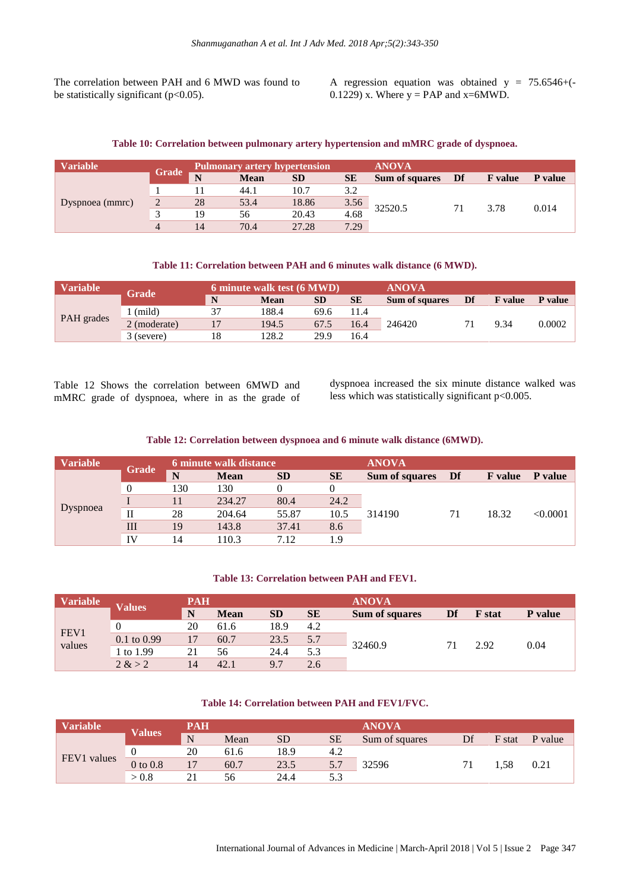The correlation between PAH and 6 MWD was found to be statistically significant ( $p<0.05$ ).

A regression equation was obtained  $y = 75.6546+$ 0.1229) x. Where  $y = PAP$  and  $x=6MWD$ .

#### **Table 10: Correlation between pulmonary artery hypertension and mMRC grade of dyspnoea.**

| <b>Variable</b> |       | <b>Pulmonary artery hypertension</b> |             |           |           | <b>ANOVA</b>          |    |                |         |
|-----------------|-------|--------------------------------------|-------------|-----------|-----------|-----------------------|----|----------------|---------|
|                 | Grade | N                                    | <b>Mean</b> | <b>SD</b> | <b>SE</b> | <b>Sum of squares</b> | Df | <b>F</b> value | P value |
|                 |       |                                      | 44.1        | 10.7      | 3.2       |                       |    | 3.78           | 0.014   |
| Dyspnoea (mmrc) |       | 28                                   | 53.4        | 18.86     | 3.56      | 32520.5               |    |                |         |
|                 |       | 19                                   | 56          | 20.43     | 4.68      |                       |    |                |         |
|                 | 4     | 14                                   | 70.4        | 27.28     | 7.29      |                       |    |                |         |

#### **Table 11: Correlation between PAH and 6 minutes walk distance (6 MWD).**

| Variable   | Grade                  |    | 6 minute walk test (6 MWD) | <b>ANOVA</b> |           |                       |    |                |         |
|------------|------------------------|----|----------------------------|--------------|-----------|-----------------------|----|----------------|---------|
|            |                        | N  | <b>Mean</b>                | <b>SD</b>    | <b>SE</b> | <b>Sum of squares</b> | Df | <b>F</b> value | P value |
| PAH grades | (mild)                 | 37 | 188.4                      | 69.6         | 11.4      |                       |    |                | 0.0002  |
|            | $2 \text{ (moderate)}$ |    | 194.5                      | 67.5         | 16.4      | 246420                |    | 9.34           |         |
|            | 3 (severe)             | 18 | 128.2                      | 29.9         | 16.4      |                       |    |                |         |

Table 12 Shows the correlation between 6MWD and mMRC grade of dyspnoea, where in as the grade of dyspnoea increased the six minute distance walked was less which was statistically significant p<0.005.

**Table 12: Correlation between dyspnoea and 6 minute walk distance (6MWD).**

| <b>Variable</b> |                |     | <b>6 minute walk distance</b> |           |           | <b>ANOVA</b>          |    |                |          |
|-----------------|----------------|-----|-------------------------------|-----------|-----------|-----------------------|----|----------------|----------|
|                 | <b>Grade</b>   | N   | <b>Mean</b>                   | <b>SD</b> | <b>SE</b> | <b>Sum of squares</b> | Df | <b>F</b> value | P value  |
|                 | $\overline{0}$ | 130 | 130                           |           |           |                       |    | 18.32          | < 0.0001 |
|                 |                |     | 234.27                        | 80.4      | 24.2      |                       | 71 |                |          |
| Dyspnoea        | П              | 28  | 204.64                        | 55.87     | 10.5      | 314190                |    |                |          |
|                 | Ш              | 19  | 143.8                         | 37.41     | 8.6       |                       |    |                |          |
|                 | <b>IV</b>      | 14  | 10.3                          | 7.12      | 1.9       |                       |    |                |          |

#### **Table 13: Correlation between PAH and FEV1.**

| <b>Variable</b> | <b>Values</b>          | PAH |             |           |           | <b>ANOVA</b>   |    |               |         |
|-----------------|------------------------|-----|-------------|-----------|-----------|----------------|----|---------------|---------|
|                 |                        | N   | <b>Mean</b> | <b>SD</b> | <b>SE</b> | Sum of squares | Df | <b>F</b> stat | P value |
| FEV1<br>values  |                        | 20  | 61.6        | 18.9      | 4.2       | 32460.9        | 71 | 2.92          | 0.04    |
|                 | $0.1 \text{ to } 0.99$ | 17  | 60.7        | 23.5      | 5.7       |                |    |               |         |
|                 | 1 to 1.99              | 21  | 56          | 24.4      | 5.3       |                |    |               |         |
|                 | 2 > 2                  | 14  | 42.1        | 9.7       | 2.6       |                |    |               |         |

#### **Table 14: Correlation between PAH and FEV1/FVC.**

| <b>Variable</b> | <b>Values</b> | <b>PAH</b> |      |           |           | <b>ANOVA</b>   |    |        |         |
|-----------------|---------------|------------|------|-----------|-----------|----------------|----|--------|---------|
|                 |               | N          | Mean | <b>SD</b> | <b>SE</b> | Sum of squares | Df | F stat | P value |
|                 |               | 20         | 61.6 | 18.9      | 4.2       | 32596          | 71 | . .58  | 0.21    |
| FEV1 values     | $0$ to $0.8$  |            | 60.7 | 23.5      | 5.7       |                |    |        |         |
|                 | > 0.8         | 21         | 56   | 24.4      | 5.3       |                |    |        |         |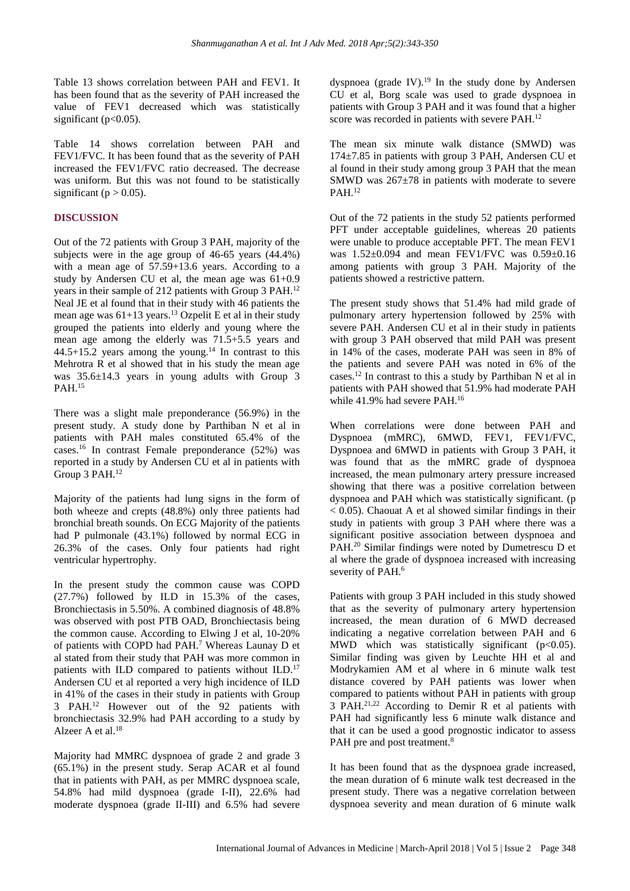Table 13 shows correlation between PAH and FEV1. It has been found that as the severity of PAH increased the value of FEV1 decreased which was statistically significant ( $p<0.05$ ).

Table 14 shows correlation between PAH and FEV1/FVC. It has been found that as the severity of PAH increased the FEV1/FVC ratio decreased. The decrease was uniform. But this was not found to be statistically significant ( $p > 0.05$ ).

## **DISCUSSION**

Out of the 72 patients with Group 3 PAH, majority of the subjects were in the age group of 46-65 years (44.4%) with a mean age of 57.59+13.6 years. According to a study by Andersen CU et al, the mean age was 61+0.9 years in their sample of 212 patients with Group 3 PAH.<sup>12</sup> Neal JE et al found that in their study with 46 patients the mean age was  $61+13$  years.<sup>13</sup> Ozpelit E et al in their study grouped the patients into elderly and young where the mean age among the elderly was 71.5+5.5 years and  $44.5+15.2$  years among the young.<sup>14</sup> In contrast to this Mehrotra R et al showed that in his study the mean age was 35.6±14.3 years in young adults with Group 3 PAH. 15

There was a slight male preponderance (56.9%) in the present study. A study done by Parthiban N et al in patients with PAH males constituted 65.4% of the cases.<sup>16</sup> In contrast Female preponderance (52%) was reported in a study by Andersen CU et al in patients with Group 3 PAH.<sup>12</sup>

Majority of the patients had lung signs in the form of both wheeze and crepts (48.8%) only three patients had bronchial breath sounds. On ECG Majority of the patients had P pulmonale (43.1%) followed by normal ECG in 26.3% of the cases. Only four patients had right ventricular hypertrophy.

In the present study the common cause was COPD (27.7%) followed by ILD in 15.3% of the cases, Bronchiectasis in 5.50%. A combined diagnosis of 48.8% was observed with post PTB OAD, Bronchiectasis being the common cause. According to Elwing J et al, 10-20% of patients with COPD had PAH.<sup>7</sup> Whereas Launay D et al stated from their study that PAH was more common in patients with ILD compared to patients without ILD.<sup>17</sup> Andersen CU et al reported a very high incidence of ILD in 41% of the cases in their study in patients with Group 3 PAH.<sup>12</sup> However out of the 92 patients with bronchiectasis 32.9% had PAH according to a study by Alzeer A et al. 18

Majority had MMRC dyspnoea of grade 2 and grade 3 (65.1%) in the present study. Serap ACAR et al found that in patients with PAH, as per MMRC dyspnoea scale, 54.8% had mild dyspnoea (grade I-II), 22.6% had moderate dyspnoea (grade II-III) and 6.5% had severe dyspnoea (grade IV). $^{19}$  In the study done by Andersen CU et al, Borg scale was used to grade dyspnoea in patients with Group 3 PAH and it was found that a higher score was recorded in patients with severe PAH.<sup>12</sup>

The mean six minute walk distance (SMWD) was 174±7.85 in patients with group 3 PAH, Andersen CU et al found in their study among group 3 PAH that the mean SMWD was  $267\pm78$  in patients with moderate to severe  $PAH.<sup>12</sup>$ 

Out of the 72 patients in the study 52 patients performed PFT under acceptable guidelines, whereas 20 patients were unable to produce acceptable PFT. The mean FEV1 was 1.52±0.094 and mean FEV1/FVC was 0.59±0.16 among patients with group 3 PAH. Majority of the patients showed a restrictive pattern.

The present study shows that 51.4% had mild grade of pulmonary artery hypertension followed by 25% with severe PAH. Andersen CU et al in their study in patients with group 3 PAH observed that mild PAH was present in 14% of the cases, moderate PAH was seen in 8% of the patients and severe PAH was noted in 6% of the cases.<sup>12</sup> In contrast to this a study by Parthiban N et al in patients with PAH showed that 51.9% had moderate PAH while 41.9% had severe PAH.<sup>16</sup>

When correlations were done between PAH and Dyspnoea (mMRC), 6MWD, FEV1, FEV1/FVC, Dyspnoea and 6MWD in patients with Group 3 PAH, it was found that as the mMRC grade of dyspnoea increased, the mean pulmonary artery pressure increased showing that there was a positive correlation between dyspnoea and PAH which was statistically significant. (p  $< 0.05$ ). Chaouat A et al showed similar findings in their study in patients with group 3 PAH where there was a significant positive association between dyspnoea and PAH.<sup>20</sup> Similar findings were noted by Dumetrescu D et al where the grade of dyspnoea increased with increasing severity of PAH.<sup>6</sup>

Patients with group 3 PAH included in this study showed that as the severity of pulmonary artery hypertension increased, the mean duration of 6 MWD decreased indicating a negative correlation between PAH and 6 MWD which was statistically significant  $(p<0.05)$ . Similar finding was given by Leuchte HH et al and Modrykamien AM et al where in 6 minute walk test distance covered by PAH patients was lower when compared to patients without PAH in patients with group 3 PAH.21,22 According to Demir R et al patients with PAH had significantly less 6 minute walk distance and that it can be used a good prognostic indicator to assess PAH pre and post treatment.<sup>8</sup>

It has been found that as the dyspnoea grade increased, the mean duration of 6 minute walk test decreased in the present study. There was a negative correlation between dyspnoea severity and mean duration of 6 minute walk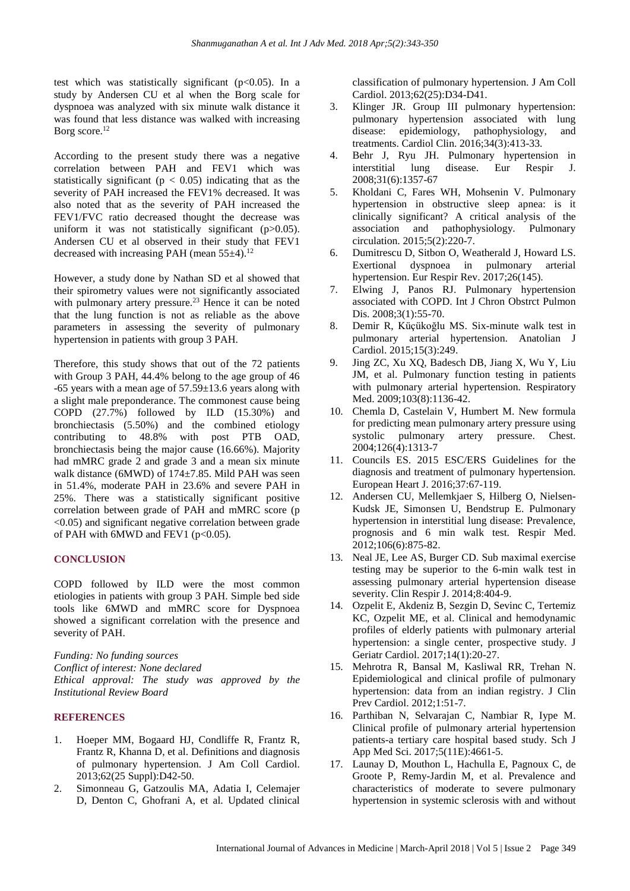test which was statistically significant  $(p<0.05)$ . In a study by Andersen CU et al when the Borg scale for dyspnoea was analyzed with six minute walk distance it was found that less distance was walked with increasing Borg score.<sup>12</sup>

According to the present study there was a negative correlation between PAH and FEV1 which was statistically significant ( $p < 0.05$ ) indicating that as the severity of PAH increased the FEV1% decreased. It was also noted that as the severity of PAH increased the FEV1/FVC ratio decreased thought the decrease was uniform it was not statistically significant (p>0.05). Andersen CU et al observed in their study that FEV1 decreased with increasing PAH (mean  $55±4$ ).<sup>12</sup>

However, a study done by Nathan SD et al showed that their spirometry values were not significantly associated with pulmonary artery pressure.<sup>23</sup> Hence it can be noted that the lung function is not as reliable as the above parameters in assessing the severity of pulmonary hypertension in patients with group 3 PAH.

Therefore, this study shows that out of the 72 patients with Group 3 PAH, 44.4% belong to the age group of 46 -65 years with a mean age of 57.59±13.6 years along with a slight male preponderance. The commonest cause being COPD (27.7%) followed by ILD (15.30%) and bronchiectasis (5.50%) and the combined etiology contributing to 48.8% with post PTB OAD, bronchiectasis being the major cause (16.66%). Majority had mMRC grade 2 and grade 3 and a mean six minute walk distance (6MWD) of 174±7.85. Mild PAH was seen in 51.4%, moderate PAH in 23.6% and severe PAH in 25%. There was a statistically significant positive correlation between grade of PAH and mMRC score (p <0.05) and significant negative correlation between grade of PAH with 6MWD and FEV1 ( $p<0.05$ ).

#### **CONCLUSION**

COPD followed by ILD were the most common etiologies in patients with group 3 PAH. Simple bed side tools like 6MWD and mMRC score for Dyspnoea showed a significant correlation with the presence and severity of PAH.

*Funding: No funding sources Conflict of interest: None declared Ethical approval: The study was approved by the Institutional Review Board*

#### **REFERENCES**

- 1. Hoeper MM, Bogaard HJ, Condliffe R, Frantz R, Frantz R, Khanna D, et al. Definitions and diagnosis of pulmonary hypertension. J Am Coll Cardiol. 2013;62(25 Suppl):D42-50.
- 2. Simonneau G, Gatzoulis MA, Adatia I, Celemajer D, Denton C, Ghofrani A, et al. Updated clinical

classification of pulmonary hypertension. J Am Coll Cardiol. 2013;62(25):D34-D41.

- 3. Klinger JR. Group III pulmonary hypertension: pulmonary hypertension associated with lung disease: epidemiology, pathophysiology, and treatments. Cardiol Clin. 2016;34(3):413-33.
- 4. Behr J, Ryu JH. Pulmonary hypertension in interstitial lung disease. Eur Respir J. 2008;31(6):1357-67
- 5. Kholdani C, Fares WH, Mohsenin V. Pulmonary hypertension in obstructive sleep apnea: is it clinically significant? A critical analysis of the association and pathophysiology. Pulmonary circulation. 2015;5(2):220-7.
- 6. Dumitrescu D, Sitbon O, Weatherald J, Howard LS. Exertional dyspnoea in pulmonary arterial hypertension. Eur Respir Rev. 2017;26(145).
- 7. Elwing J, Panos RJ. Pulmonary hypertension associated with COPD. Int J Chron Obstrct Pulmon Dis. 2008;3(1):55-70.
- 8. Demir R, Küçükoğlu MS. Six-minute walk test in pulmonary arterial hypertension. Anatolian J Cardiol. 2015;15(3):249.
- 9. Jing ZC, Xu XQ, Badesch DB, Jiang X, Wu Y, Liu JM, et al. Pulmonary function testing in patients with pulmonary arterial hypertension. Respiratory Med. 2009;103(8):1136-42.
- 10. Chemla D, Castelain V, Humbert M. New formula for predicting mean pulmonary artery pressure using systolic pulmonary artery pressure. Chest. 2004;126(4):1313-7
- 11. Councils ES. 2015 ESC/ERS Guidelines for the diagnosis and treatment of pulmonary hypertension. European Heart J. 2016;37:67-119.
- 12. Andersen CU, Mellemkjaer S, Hilberg O, Nielsen-Kudsk JE, Simonsen U, Bendstrup E. Pulmonary hypertension in interstitial lung disease: Prevalence, prognosis and 6 min walk test. Respir Med. 2012;106(6):875-82.
- 13. Neal JE, Lee AS, Burger CD. Sub maximal exercise testing may be superior to the 6-min walk test in assessing pulmonary arterial hypertension disease severity. Clin Respir J. 2014;8:404-9.
- 14. Ozpelit E, Akdeniz B, Sezgin D, Sevinc C, Tertemiz KC, Ozpelit ME, et al. Clinical and hemodynamic profiles of elderly patients with pulmonary arterial hypertension: a single center, prospective study. J Geriatr Cardiol. 2017;14(1):20-27.
- 15. Mehrotra R, Bansal M, Kasliwal RR, Trehan N. Epidemiological and clinical profile of pulmonary hypertension: data from an indian registry. J Clin Prev Cardiol. 2012;1:51-7.
- 16. Parthiban N, Selvarajan C, Nambiar R, Iype M. Clinical profile of pulmonary arterial hypertension patients-a tertiary care hospital based study. Sch J App Med Sci. 2017;5(11E):4661-5.
- 17. Launay D, Mouthon L, Hachulla E, Pagnoux C, de Groote P, Remy-Jardin M, et al. Prevalence and characteristics of moderate to severe pulmonary hypertension in systemic sclerosis with and without